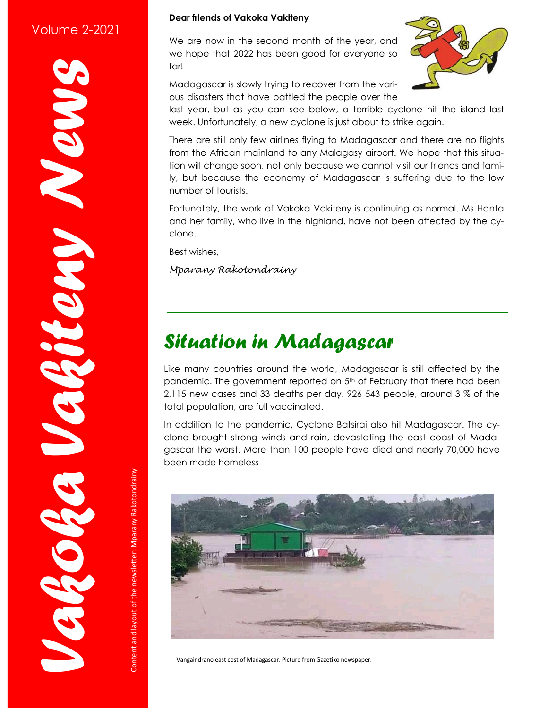#### Volume 2-2021

NON!

*Vakoka Vakiteny News*

RESERV

#### **Dear friends of Vakoka Vakiteny**

We are now in the second month of the year, and we hope that 2022 has been good for everyone so far!

Madagascar is slowly trying to recover from the various disasters that have battled the people over the

last year, but as you can see below, a terrible cyclone hit the island last week. Unfortunately, a new cyclone is just about to strike again.

There are still only few airlines flying to Madagascar and there are no flights from the African mainland to any Malagasy airport. We hope that this situation will change soon, not only because we cannot visit our friends and family, but because the economy of Madagascar is suffering due to the low number of tourists.

Fortunately, the work of Vakoka Vakiteny is continuing as normal. Ms Hanta and her family, who live in the highland, have not been affected by the cyclone.

Best wishes,

*Mparany Rakotondrainy*

#### *Situation in Madagascar*

Like many countries around the world, Madagascar is still affected by the pandemic. The government reported on 5<sup>th</sup> of February that there had been 2,115 new cases and 33 deaths per day. 926 543 people, around 3 % of the total population, are full vaccinated.

In addition to the pandemic, Cyclone Batsirai also hit Madagascar. The cyclone brought strong winds and rain, devastating the east coast of Madagascar the worst. More than 100 people have died and nearly 70,000 have been made homeless



Vangaindrano east cost of Madagascar. Picture from Gazetiko newspaper.

Content and layout of the newsletter: Mparany Rakotondrainy Content and layout of the newsletter: Mparany Rakotondrainy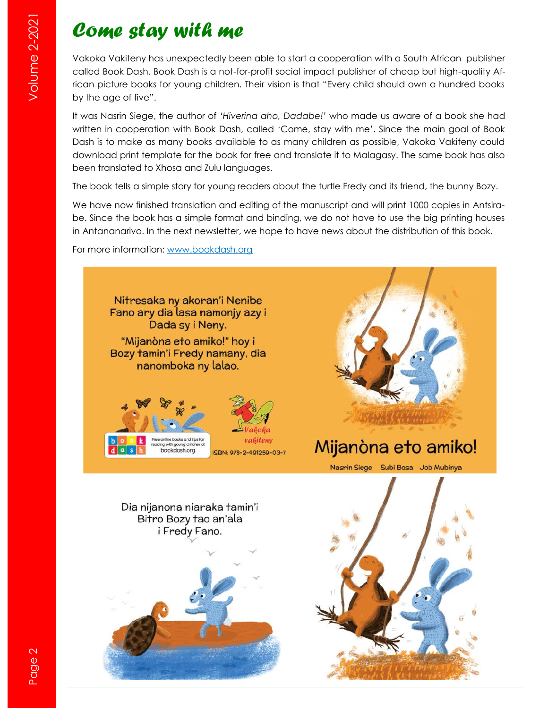#### *Come stay with me*

Vakoka Vakiteny has unexpectedly been able to start a cooperation with a South African publisher called Book Dash. Book Dash is a not-for-profit social impact publisher of cheap but high-quality African picture books for young children. Their vision is that "Every child should own a hundred books by the age of five".

It was Nasrin Siege, the author of *'Hiverina aho, Dadabe!'* who made us aware of a book she had written in cooperation with Book Dash, called 'Come, stay with me'. Since the main goal of Book Dash is to make as many books available to as many children as possible, Vakoka Vakiteny could download print template for the book for free and translate it to Malagasy. The same book has also been translated to Xhosa and Zulu languages.

The book tells a simple story for young readers about the turtle Fredy and its friend, the bunny Bozy.

We have now finished translation and editing of the manuscript and will print 1000 copies in Antsirabe. Since the book has a simple format and binding, we do not have to use the big printing houses in Antananarivo. In the next newsletter, we hope to have news about the distribution of this book.

For more information: [www.bookdash.org](http://www.bookdash.org)

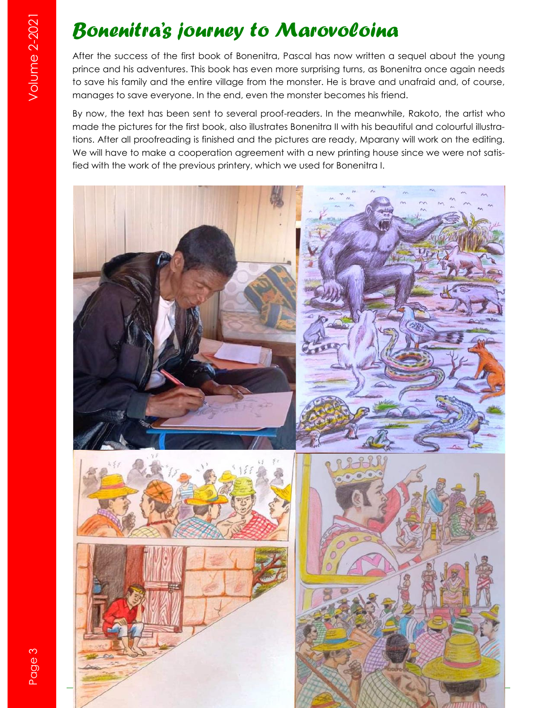# *Bonenitra's journey to Marovoloina*

After the success of the first book of Bonenitra, Pascal has now written a sequel about the young prince and his adventures. This book has even more surprising turns, as Bonenitra once again needs to save his family and the entire village from the monster. He is brave and unafraid and, of course, manages to save everyone. In the end, even the monster becomes his friend.

By now, the text has been sent to several proof-readers. In the meanwhile, Rakoto, the artist who made the pictures for the first book, also illustrates Bonenitra II with his beautiful and colourful illustrations. After all proofreading is finished and the pictures are ready, Mparany will work on the editing. We will have to make a cooperation agreement with a new printing house since we were not satisfied with the work of the previous printery, which we used for Bonenitra I.

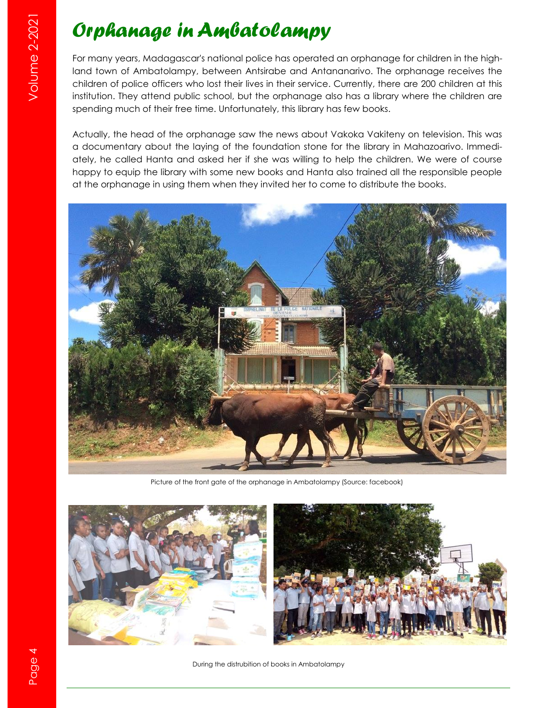# *Orphanage in Ambatolampy*

For many years, Madagascar's national police has operated an orphanage for children in the highland town of Ambatolampy, between Antsirabe and Antananarivo. The orphanage receives the children of police officers who lost their lives in their service. Currently, there are 200 children at this institution. They attend public school, but the orphanage also has a library where the children are spending much of their free time. Unfortunately, this library has few books.

Actually, the head of the orphanage saw the news about Vakoka Vakiteny on television. This was a documentary about the laying of the foundation stone for the library in Mahazoarivo. Immediately, he called Hanta and asked her if she was willing to help the children. We were of course happy to equip the library with some new books and Hanta also trained all the responsible people at the orphanage in using them when they invited her to come to distribute the books.



Picture of the front gate of the orphanage in Ambatolampy (Source: facebook)





During the distrubition of books in Ambatolampy